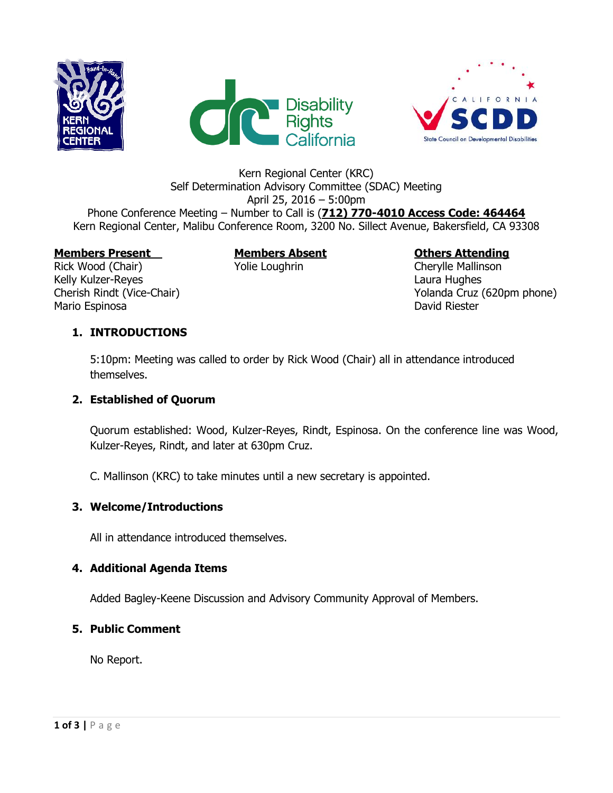





## Kern Regional Center (KRC) Self Determination Advisory Committee (SDAC) Meeting April 25, 2016 – 5:00pm Phone Conference Meeting – Number to Call is (**712) 770-4010 Access Code: 464464** Kern Regional Center, Malibu Conference Room, 3200 No. Sillect Avenue, Bakersfield, CA 93308

#### **Members Present Members Absent Others Attending**

Rick Wood (Chair) The Yolie Loughrin Cherylle Mallinson Kelly Kulzer-Reyes **Laura Hughes** Laura Hughes **Laura Hughes** Mario Espinosa **David Riester** 

Cherish Rindt (Vice-Chair) Cherish Rindt (Vice-Chair)  $\sim$  Yolanda Cruz (620pm phone)

## **1. INTRODUCTIONS**

5:10pm: Meeting was called to order by Rick Wood (Chair) all in attendance introduced themselves.

## **2. Established of Quorum**

Quorum established: Wood, Kulzer-Reyes, Rindt, Espinosa. On the conference line was Wood, Kulzer-Reyes, Rindt, and later at 630pm Cruz.

C. Mallinson (KRC) to take minutes until a new secretary is appointed.

## **3. Welcome/Introductions**

All in attendance introduced themselves.

## **4. Additional Agenda Items**

Added Bagley-Keene Discussion and Advisory Community Approval of Members.

## **5. Public Comment**

No Report.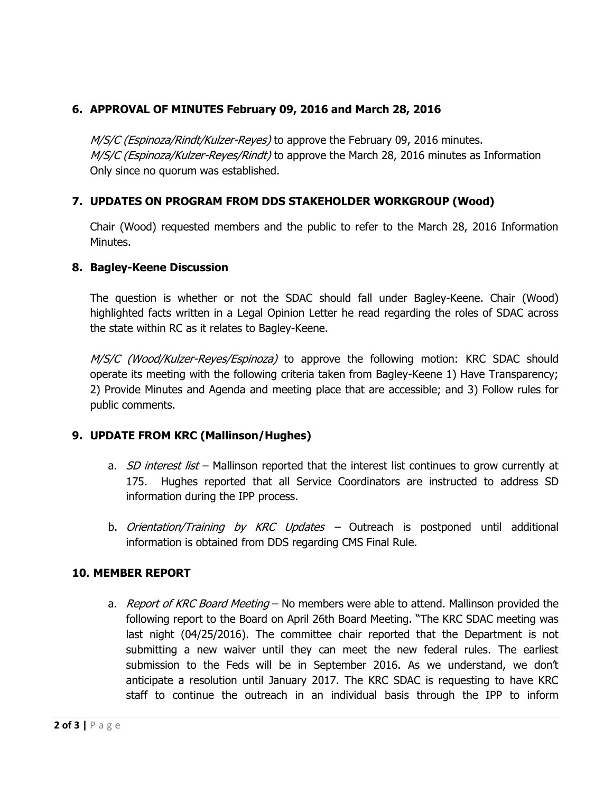## **6. APPROVAL OF MINUTES February 09, 2016 and March 28, 2016**

M/S/C (Espinoza/Rindt/Kulzer-Reyes) to approve the February 09, 2016 minutes. M/S/C (Espinoza/Kulzer-Reyes/Rindt) to approve the March 28, 2016 minutes as Information Only since no quorum was established.

## **7. UPDATES ON PROGRAM FROM DDS STAKEHOLDER WORKGROUP (Wood)**

Chair (Wood) requested members and the public to refer to the March 28, 2016 Information Minutes.

#### **8. Bagley-Keene Discussion**

The question is whether or not the SDAC should fall under Bagley-Keene. Chair (Wood) highlighted facts written in a Legal Opinion Letter he read regarding the roles of SDAC across the state within RC as it relates to Bagley-Keene.

M/S/C (Wood/Kulzer-Reyes/Espinoza) to approve the following motion: KRC SDAC should operate its meeting with the following criteria taken from Bagley-Keene 1) Have Transparency; 2) Provide Minutes and Agenda and meeting place that are accessible; and 3) Follow rules for public comments.

## **9. UPDATE FROM KRC (Mallinson/Hughes)**

- a. *SD interest list* Mallinson reported that the interest list continues to grow currently at 175. Hughes reported that all Service Coordinators are instructed to address SD information during the IPP process.
- b. Orientation/Training by KRC Updates  $-$  Outreach is postponed until additional information is obtained from DDS regarding CMS Final Rule.

## **10. MEMBER REPORT**

a. Report of KRC Board Meeting – No members were able to attend. Mallinson provided the following report to the Board on April 26th Board Meeting. "The KRC SDAC meeting was last night (04/25/2016). The committee chair reported that the Department is not submitting a new waiver until they can meet the new federal rules. The earliest submission to the Feds will be in September 2016. As we understand, we don't anticipate a resolution until January 2017. The KRC SDAC is requesting to have KRC staff to continue the outreach in an individual basis through the IPP to inform